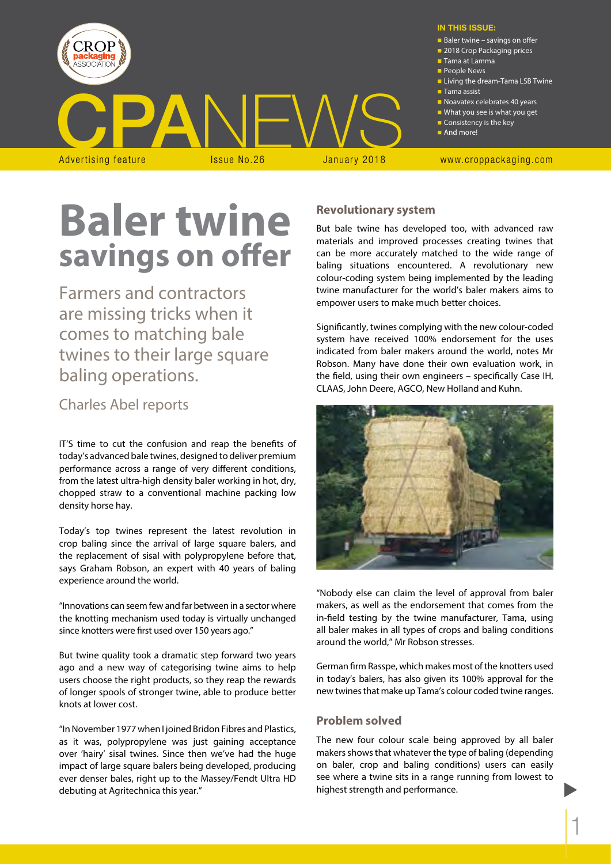

# **Baler twine savings on offer**

Farmers and contractors are missing tricks when it comes to matching bale twines to their large square baling operations.

## Charles Abel reports

IT'S time to cut the confusion and reap the benefits of today's advanced bale twines, designed to deliver premium performance across a range of very different conditions, from the latest ultra-high density baler working in hot, dry, chopped straw to a conventional machine packing low density horse hay.

Today's top twines represent the latest revolution in crop baling since the arrival of large square balers, and the replacement of sisal with polypropylene before that, says Graham Robson, an expert with 40 years of baling experience around the world.

"Innovations can seem few and far between in a sector where the knotting mechanism used today is virtually unchanged since knotters were first used over 150 years ago."

But twine quality took a dramatic step forward two years ago and a new way of categorising twine aims to help users choose the right products, so they reap the rewards of longer spools of stronger twine, able to produce better knots at lower cost.

"In November 1977 when I joined Bridon Fibres and Plastics, as it was, polypropylene was just gaining acceptance over 'hairy' sisal twines. Since then we've had the huge impact of large square balers being developed, producing ever denser bales, right up to the Massey/Fendt Ultra HD debuting at Agritechnica this year."

## **Revolutionary system**

But bale twine has developed too, with advanced raw materials and improved processes creating twines that can be more accurately matched to the wide range of baling situations encountered. A revolutionary new colour-coding system being implemented by the leading twine manufacturer for the world's baler makers aims to empower users to make much better choices.

Significantly, twines complying with the new colour-coded system have received 100% endorsement for the uses indicated from baler makers around the world, notes Mr Robson. Many have done their own evaluation work, in the field, using their own engineers – specifically Case IH, CLAAS, John Deere, AGCO, New Holland and Kuhn.



"Nobody else can claim the level of approval from baler makers, as well as the endorsement that comes from the in-field testing by the twine manufacturer, Tama, using all baler makes in all types of crops and baling conditions around the world," Mr Robson stresses.

German firm Rasspe, which makes most of the knotters used in today's balers, has also given its 100% approval for the new twines that make up Tama's colour coded twine ranges.

## **Problem solved**

The new four colour scale being approved by all baler makers shows that whatever the type of baling (depending on baler, crop and baling conditions) users can easily see where a twine sits in a range running from lowest to highest strength and performance.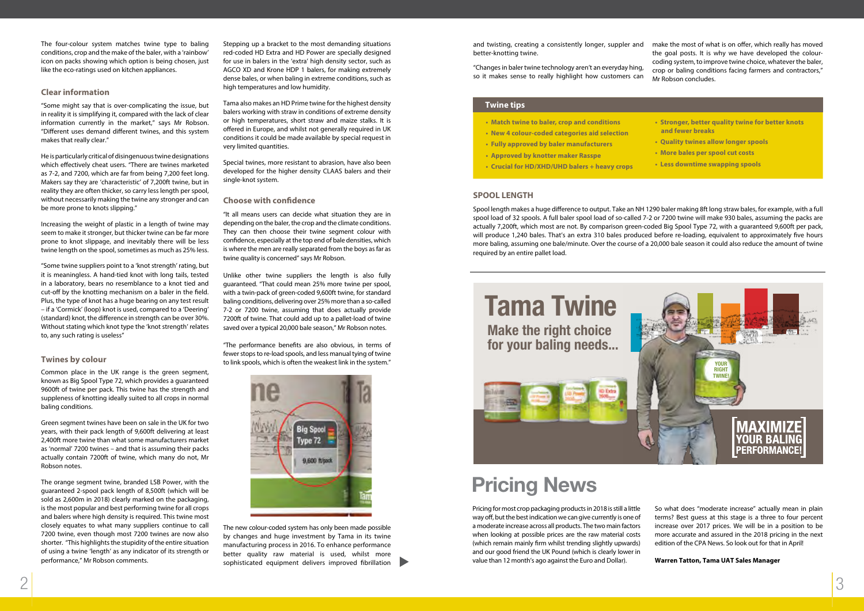Pricing for most crop packaging products in 2018 is still a little way off, but the best indication we can give currently is one of a moderate increase across all products. The two main factors when looking at possible prices are the raw material costs (which remain mainly firm whilst trending slightly upwards) and our good friend the UK Pound (which is clearly lower in value than 12 month's ago against the Euro and Dollar).

So what does "moderate increase" actually mean in plain terms? Best guess at this stage is a three to four percent increase over 2017 prices. We will be in a position to be more accurate and assured in the 2018 pricing in the next edition of the CPA News. So look out for that in April!

## **Warren Tatton, Tama UAT Sales Manager**

The four-colour system matches twine type to baling conditions, crop and the make of the baler, with a 'rainbow' icon on packs showing which option is being chosen, just like the eco-ratings used on kitchen appliances.

## **Clear information**

"Some might say that is over-complicating the issue, but in reality it is simplifying it, compared with the lack of clear information currently in the market," says Mr Robson. "Different uses demand different twines, and this system makes that really clear."

He is particularly critical of disingenuous twine designations which effectively cheat users. "There are twines marketed as 7-2, and 7200, which are far from being 7,200 feet long. Makers say they are 'characteristic' of 7,200ft twine, but in reality they are often thicker, so carry less length per spool, without necessarily making the twine any stronger and can be more prone to knots slipping."

Increasing the weight of plastic in a length of twine may seem to make it stronger, but thicker twine can be far more prone to knot slippage, and inevitably there will be less twine length on the spool, sometimes as much as 25% less.

"Some twine suppliers point to a 'knot strength' rating, but it is meaningless. A hand-tied knot with long tails, tested in a laboratory, bears no resemblance to a knot tied and cut-off by the knotting mechanism on a baler in the field. Plus, the type of knot has a huge bearing on any test result – if a 'Cormick' (loop) knot is used, compared to a 'Deering' (standard) knot, the difference in strength can be over 30%. Without stating which knot type the 'knot strength' relates to, any such rating is useless"

## **Twines by colour**

Common place in the UK range is the green segment, known as Big Spool Type 72, which provides a guaranteed 9600ft of twine per pack. This twine has the strength and suppleness of knotting ideally suited to all crops in normal baling conditions.

> The new colour-coded system has only been made possible by changes and huge investment by Tama in its twine manufacturing process in 2016. To enhance performance better quality raw material is used, whilst more sophisticated equipment delivers improved fibrillation

Green segment twines have been on sale in the UK for two years, with their pack length of 9,600ft delivering at least 2,400ft more twine than what some manufacturers market as 'normal' 7200 twines – and that is assuming their packs actually contain 7200ft of twine, which many do not, Mr Robson notes.

The orange segment twine, branded LSB Power, with the guaranteed 2-spool pack length of 8,500ft (which will be sold as 2,600m in 2018) clearly marked on the packaging, is the most popular and best performing twine for all crops and balers where high density is required. This twine most closely equates to what many suppliers continue to call 7200 twine, even though most 7200 twines are now also shorter. "This highlights the stupidity of the entire situation of using a twine 'length' as any indicator of its strength or performance," Mr Robson comments.

Stepping up a bracket to the most demanding situations red-coded HD Extra and HD Power are specially designed for use in balers in the 'extra' high density sector, such as AGCO XD and Krone HDP 1 balers, for making extremely dense bales, or when baling in extreme conditions, such as high temperatures and low humidity.

Tama also makes an HD Prime twine for the highest density balers working with straw in conditions of extreme density or high temperatures, short straw and maize stalks. It is offered in Europe, and whilst not generally required in UK conditions it could be made available by special request in very limited quantities.

Special twines, more resistant to abrasion, have also been developed for the higher density CLAAS balers and their single-knot system.

## **Choose with confidence**

"It all means users can decide what situation they are in depending on the baler, the crop and the climate conditions. They can then choose their twine segment colour with confidence, especially at the top end of bale densities, which is where the men are really separated from the boys as far as twine quality is concerned" says Mr Robson.

Unlike other twine suppliers the length is also fully guaranteed. "That could mean 25% more twine per spool, with a twin-pack of green-coded 9,600ft twine, for standard baling conditions, delivering over 25% more than a so-called 7-2 or 7200 twine, assuming that does actually provide 7200ft of twine. That could add up to a pallet-load of twine saved over a typical 20,000 bale season," Mr Robson notes.

"The performance benefits are also obvious, in terms of fewer stops to re-load spools, and less manual tying of twine to link spools, which is often the weakest link in the system."



# Pricing News

- **Match twine to baler, crop and conditions**
- **New 4 colour-coded categories aid selection**
- **Fully approved by baler manufacturers**
- **Approved by knotter maker Rasspe**
- **Crucial for HD/XHD/UHD balers + heavy crops**
- **Stronger, better quality twine for better knots and fewer breaks**
- **Quality twines allow longer spools**
- **More bales per spool cut costs**
- **Less downtime swapping spools**

## **Twine tips**

Spool length makes a huge difference to output. Take an NH 1290 baler making 8ft long straw bales, for example, with a full spool load of 32 spools. A full baler spool load of so-called 7-2 or 7200 twine will make 930 bales, assuming the packs are actually 7,200ft, which most are not. By comparison green-coded Big Spool Type 72, with a guaranteed 9,600ft per pack, will produce 1,240 bales. That's an extra 310 bales produced before re-loading, equivalent to approximately five hours more baling, assuming one bale/minute. Over the course of a 20,000 bale season it could also reduce the amount of twine required by an entire pallet load.

## **SPOOL LENGTH**

and twisting, creating a consistently longer, suppler and better-knotting twine. "Changes in baler twine technology aren't an everyday hing, so it makes sense to really highlight how customers can make the most of what is on offer, which really has moved the goal posts. It is why we have developed the colourcoding system, to improve twine choice, whatever the baler, crop or baling conditions facing farmers and contractors," Mr Robson concludes.

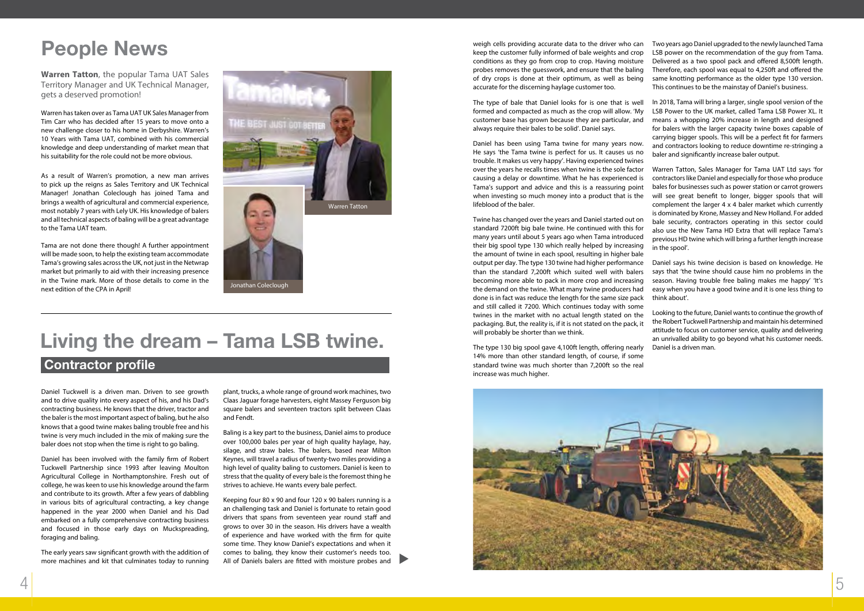

Daniel Tuckwell is a driven man. Driven to see growth and to drive quality into every aspect of his, and his Dad's contracting business. He knows that the driver, tractor and the baler is the most important aspect of baling, but he also knows that a good twine makes baling trouble free and his twine is very much included in the mix of making sure the baler does not stop when the time is right to go baling.

Daniel has been involved with the family firm of Robert Tuckwell Partnership since 1993 after leaving Moulton Agricultural College in Northamptonshire. Fresh out of college, he was keen to use his knowledge around the farm and contribute to its growth. After a few years of dabbling in various bits of agricultural contracting, a key change happened in the year 2000 when Daniel and his Dad embarked on a fully comprehensive contracting business and focused in those early days on Muckspreading, foraging and baling.

The early years saw significant growth with the addition of more machines and kit that culminates today to running plant, trucks, a whole range of ground work machines, two Claas Jaguar forage harvesters, eight Massey Ferguson big square balers and seventeen tractors split between Claas and Fendt.

Baling is a key part to the business, Daniel aims to produce over 100,000 bales per year of high quality haylage, hay, silage, and straw bales. The balers, based near Milton Keynes, will travel a radius of twenty-two miles providing a high level of quality baling to customers. Daniel is keen to stress that the quality of every bale is the foremost thing he strives to achieve. He wants every bale perfect.

Keeping four 80 x 90 and four 120 x 90 balers running is a an challenging task and Daniel is fortunate to retain good drivers that spans from seventeen year round staff and grows to over 30 in the season. His drivers have a wealth of experience and have worked with the firm for quite some time. They know Daniel's expectations and when it comes to baling, they know their customer's needs too. All of Daniels balers are fitted with moisture probes and



## Contractor profile

**Warren Tatton**, the popular Tama UAT Sales Territory Manager and UK Technical Manager, gets a deserved promotion!

Warren has taken over as Tama UAT UK Sales Manager from Tim Carr who has decided after 15 years to move onto a new challenge closer to his home in Derbyshire. Warren's 10 Years with Tama UAT, combined with his commercial knowledge and deep understanding of market mean that his suitability for the role could not be more obvious.

As a result of Warren's promotion, a new man arrives to pick up the reigns as Sales Territory and UK Technical Manager! Jonathan Coleclough has joined Tama and brings a wealth of agricultural and commercial experience, most notably 7 years with Lely UK. His knowledge of balers and all technical aspects of baling will be a great advantage to the Tama UAT team.

Tama are not done there though! A further appointment will be made soon, to help the existing team accommodate Tama's growing sales across the UK, not just in the Netwrap market but primarily to aid with their increasing presence in the Twine mark. More of those details to come in the next edition of the CPA in April!

# People News

Jonathan Coleclough



Daniel has been using Tama twine for many years now. He says 'the Tama twine is perfect for us. It causes us no trouble. It makes us very happy'. Having experienced twines over the years he recalls times when twine is the sole factor causing a delay or downtime. What he has experienced is Tama's support and advice and this is a reassuring point when investing so much money into a product that is the lifeblood of the baler.

weigh cells providing accurate data to the driver who can keep the customer fully informed of bale weights and crop conditions as they go from crop to crop. Having moisture probes removes the guesswork, and ensure that the baling of dry crops is done at their optimum, as well as being accurate for the discerning haylage customer too. Two years ago Daniel upgraded to the newly launched Tama LSB power on the recommendation of the guy from Tama. Delivered as a two spool pack and offered 8,500ft length. Therefore, each spool was equal to 4,250ft and offered the same knotting performance as the older type 130 version. This continues to be the mainstay of Daniel's business.

The type of bale that Daniel looks for is one that is well formed and compacted as much as the crop will allow. 'My customer base has grown because they are particular, and always require their bales to be solid'. Daniel says. In 2018, Tama will bring a larger, single spool version of the LSB Power to the UK market, called Tama LSB Power XL. It means a whopping 20% increase in length and designed for balers with the larger capacity twine boxes capable of carrying bigger spools. This will be a perfect fit for farmers and contractors looking to reduce downtime re-stringing a baler and significantly increase baler output.

14% more than other standard length, of course, if some standard twine was much shorter than 7,200ft so the real increase was much higher.

Twine has changed over the years and Daniel started out on standard 7200ft big bale twine. He continued with this for many years until about 5 years ago when Tama introduced their big spool type 130 which really helped by increasing the amount of twine in each spool, resulting in higher bale output per day. The type 130 twine had higher performance than the standard 7,200ft which suited well with balers becoming more able to pack in more crop and increasing the demand on the twine. What many twine producers had done is in fact was reduce the length for the same size pack and still called it 7200. Which continues today with some twines in the market with no actual length stated on the packaging. But, the reality is, if it is not stated on the pack, it will probably be shorter than we think. The type 130 big spool gave 4,100ft length, offering nearly bale security, contractors operating in this sector could also use the New Tama HD Extra that will replace Tama's previous HD twine which will bring a further length increase in the spool'. Daniel says his twine decision is based on knowledge. He says that 'the twine should cause him no problems in the season. Having trouble free baling makes me happy' 'It's easy when you have a good twine and it is one less thing to think about'. Looking to the future, Daniel wants to continue the growth of the Robert Tuckwell Partnership and maintain his determined attitude to focus on customer service, quality and delivering an unrivalled ability to go beyond what his customer needs. Daniel is a driven man.

Warren Tatton, Sales Manager for Tama UAT Ltd says 'for contractors like Daniel and especially for those who produce bales for businesses such as power station or carrot growers will see great benefit to longer, bigger spools that will complement the larger 4 x 4 baler market which currently is dominated by Krone, Massey and New Holland. For added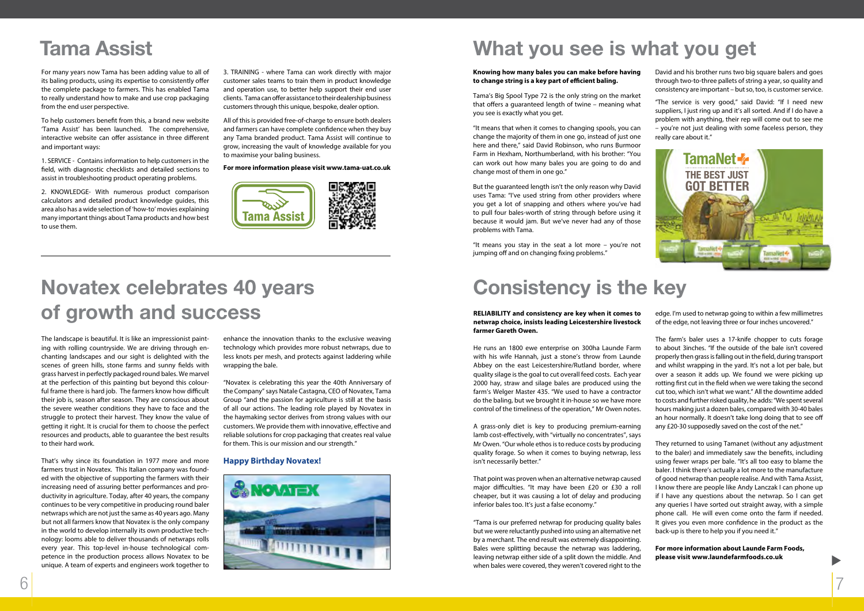For many years now Tama has been adding value to all of its baling products, using its expertise to consistently offer the complete package to farmers. This has enabled Tama to really understand how to make and use crop packaging from the end user perspective.

To help customers benefit from this, a brand new website 'Tama Assist' has been launched. The comprehensive, interactive website can offer assistance in three different and important ways:

1. SERVICE - Contains information to help customers in the field, with diagnostic checklists and detailed sections to assist in troubleshooting product operating problems.

2. KNOWLEDGE- With numerous product comparison calculators and detailed product knowledge guides, this area also has a wide selection of 'how-to' movies explaining many important things about Tama products and how best to use them.

3. TRAINING - where Tama can work directly with major customer sales teams to train them in product knowledge and operation use, to better help support their end user clients. Tama can offer assistance to their dealership business customers through this unique, bespoke, dealer option.

All of this is provided free-of-charge to ensure both dealers and farmers can have complete confidence when they buy any Tama branded product. Tama Assist will continue to grow, increasing the vault of knowledge available for you to maximise your baling business.

### **For more information please visit www.tama-uat.co.uk**



# Tama Assist What you see is what you get

The landscape is beautiful. It is like an impressionist painting with rolling countryside. We are driving through enchanting landscapes and our sight is delighted with the scenes of green hills, stone farms and sunny fields with grass harvest in perfectly packaged round bales. We marvel at the perfection of this painting but beyond this colourful frame there is hard job. The farmers know how difficult their job is, season after season. They are conscious about the severe weather conditions they have to face and the struggle to protect their harvest. They know the value of getting it right. It is crucial for them to choose the perfect resources and products, able to guarantee the best results to their hard work.

That's why since its foundation in 1977 more and more farmers trust in Novatex. This Italian company was founded with the objective of supporting the farmers with their increasing need of assuring better performances and productivity in agriculture. Today, after 40 years, the company continues to be very competitive in producing round baler netwraps which are not just the same as 40 years ago. Many but not all farmers know that Novatex is the only company in the world to develop internally its own productive technology: looms able to deliver thousands of netwraps rolls every year. This top-level in-house technological competence in the production process allows Novatex to be unique. A team of experts and engineers work together to

enhance the innovation thanks to the exclusive weaving technology which provides more robust netwraps, due to less knots per mesh, and protects against laddering while wrapping the bale.

"Novatex is celebrating this year the 40th Anniversary of the Company" says Natale Castagna, CEO of Novatex, Tama Group "and the passion for agriculture is still at the basis of all our actions. The leading role played by Novatex in the haymaking sector derives from strong values with our customers. We provide them with innovative, effective and reliable solutions for crop packaging that creates real value for them. This is our mission and our strength."

## **Happy Birthday Novatex!**



# Novatex celebrates 40 years of growth and success

### **Knowing how many bales you can make before having to change string is a key part of efficient baling.**

Tama's Big Spool Type 72 is the only string on the market that offers a guaranteed length of twine – meaning what you see is exactly what you get.

"It means that when it comes to changing spools, you can change the majority of them in one go, instead of just one here and there," said David Robinson, who runs Burmoor Farm in Hexham, Northumberland, with his brother: "You can work out how many bales you are going to do and change most of them in one go."

But the guaranteed length isn't the only reason why David uses Tama: "I've used string from other providers where you get a lot of snapping and others where you've had to pull four bales-worth of string through before using it because it would jam. But we've never had any of those problems with Tama.

"It means you stay in the seat a lot more – you're not jumping off and on changing fixing problems."

David and his brother runs two big square balers and goes through two-to-three pallets of string a year, so quality and consistency are important – but so, too, is customer service.

"The service is very good," said David: "If I need new suppliers, I just ring up and it's all sorted. And if I do have a problem with anything, their rep will come out to see me – you're not just dealing with some faceless person, they really care about it."

## **RELIABILITY and consistency are key when it comes to netwrap choice, insists leading Leicestershire livestock farmer Gareth Owen.**

He runs an 1800 ewe enterprise on 300ha Launde Farm with his wife Hannah, just a stone's throw from Launde Abbey on the east Leicestershire/Rutland border, where quality silage is the goal to cut overall feed costs. Each year 2000 hay, straw and silage bales are produced using the farm's Welger Master 435. "We used to have a contractor do the baling, but we brought it in-house so we have more control of the timeliness of the operation," Mr Owen notes.

A grass-only diet is key to producing premium-earning lamb cost-effectively, with "virtually no concentrates", says Mr Owen. "Our whole ethos is to reduce costs by producing quality forage. So when it comes to buying netwrap, less isn't necessarily better."

That point was proven when an alternative netwrap caused major difficulties. "It may have been £20 or £30 a roll cheaper, but it was causing a lot of delay and producing inferior bales too. It's just a false economy."

"Tama is our preferred netwrap for producing quality bales but we were reluctantly pushed into using an alternative net by a merchant. The end result was extremely disappointing. Bales were splitting because the netwrap was laddering, leaving netwrap either side of a split down the middle. And when bales were covered, they weren't covered right to the

edge. I'm used to netwrap going to within a few millimetres of the edge, not leaving three or four inches uncovered."

The farm's baler uses a 17-knife chopper to cuts forage to about 3inches. "If the outside of the bale isn't covered properly then grass is falling out in the field, during transport and whilst wrapping in the yard. It's not a lot per bale, but over a season it adds up. We found we were picking up rotting first cut in the field when we were taking the second cut too, which isn't what we want." All the downtime added to costs and further risked quality, he adds: "We spent several hours making just a dozen bales, compared with 30-40 bales an hour normally. It doesn't take long doing that to see off any £20-30 supposedly saved on the cost of the net."

They returned to using Tamanet (without any adjustment to the baler) and immediately saw the benefits, including using fewer wraps per bale. "It's all too easy to blame the baler. I think there's actually a lot more to the manufacture of good netwrap than people realise. And with Tama Assist, I know there are people like Andy Lanczak I can phone up if I have any questions about the netwrap. So I can get any queries I have sorted out straight away, with a simple phone call. He will even come onto the farm if needed. It gives you even more confidence in the product as the back-up is there to help you if you need it."

**For more information about Launde Farm Foods, please visit www.laundefarmfoods.co.uk**

# Consistency is the key